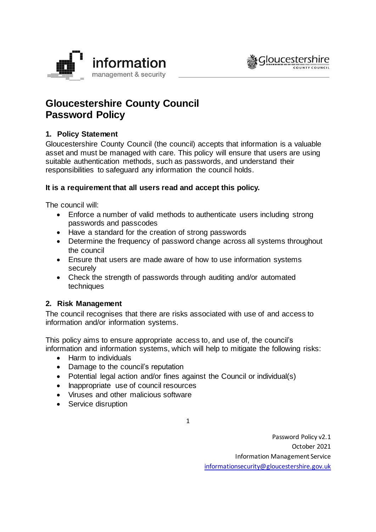



# **Gloucestershire County Council Password Policy**

# **1. Policy Statement**

Gloucestershire County Council (the council) accepts that information is a valuable asset and must be managed with care. This policy will ensure that users are using suitable authentication methods, such as passwords, and understand their responsibilities to safeguard any information the council holds.

# **It is a requirement that all users read and accept this policy.**

The council will:

- Enforce a number of valid methods to authenticate users including strong passwords and passcodes
- Have a standard for the creation of strong passwords
- Determine the frequency of password change across all systems throughout the council
- Ensure that users are made aware of how to use information systems securely
- Check the strength of passwords through auditing and/or automated techniques

# **2. Risk Management**

The council recognises that there are risks associated with use of and access to information and/or information systems.

This policy aims to ensure appropriate access to, and use of, the council's information and information systems, which will help to mitigate the following risks:

- Harm to individuals
- Damage to the council's reputation
- Potential legal action and/or fines against the Council or individual(s)
- Inappropriate use of council resources
- Viruses and other malicious software
- Service disruption

1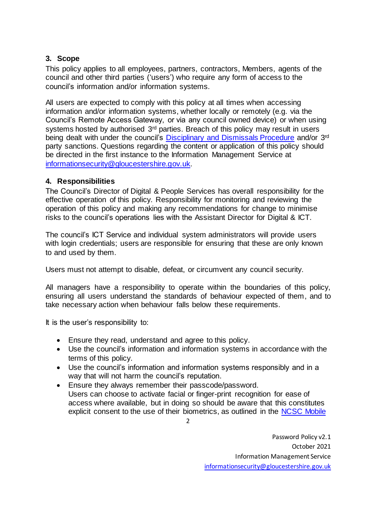## **3. Scope**

This policy applies to all employees, partners, contractors, Members, agents of the council and other third parties ('users') who require any form of access to the council's information and/or information systems.

All users are expected to comply with this policy at all times when accessing information and/or information systems, whether locally or remotely (e.g. via the Council's Remote Access Gateway, or via any council owned device) or when using systems hosted by authorised 3<sup>rd</sup> parties. Breach of this policy may result in users being dealt with under the council's [Disciplinary and Dismissals Procedure](https://staffnet.gloucestershire.gov.uk/employee-information-and-support/hr-and-employment-handbook/disciplinary-and-dismissals/) and/or 3<sup>rd</sup> party sanctions. Questions regarding the content or application of this policy should be directed in the first instance to the Information Management Service at [informationsecurity@gloucestershire.gov.uk.](mailto:informationsecurity@gloucestershire.gov.uk)

## **4. Responsibilities**

The Council's Director of Digital & People Services has overall responsibility for the effective operation of this policy. Responsibility for monitoring and reviewing the operation of this policy and making any recommendations for change to minimise risks to the council's operations lies with the Assistant Director for Digital & ICT.

The council's ICT Service and individual system administrators will provide users with login credentials; users are responsible for ensuring that these are only known to and used by them.

Users must not attempt to disable, defeat, or circumvent any council security.

All managers have a responsibility to operate within the boundaries of this policy, ensuring all users understand the standards of behaviour expected of them, and to take necessary action when behaviour falls below these requirements.

It is the user's responsibility to:

- Ensure they read, understand and agree to this policy.
- Use the council's information and information systems in accordance with the terms of this policy.
- Use the council's information and information systems responsibly and in a way that will not harm the council's reputation.
- Ensure they always remember their passcode/password. Users can choose to activate facial or finger-print recognition for ease of access where available, but in doing so should be aware that this constitutes explicit consent to the use of their biometrics, as outlined in the [NCSC Mobile](https://www.ncsc.gov.uk/collection/mobile-device-guidance/using-biometrics-on-mobile-devices)

 $\overline{\mathbf{c}}$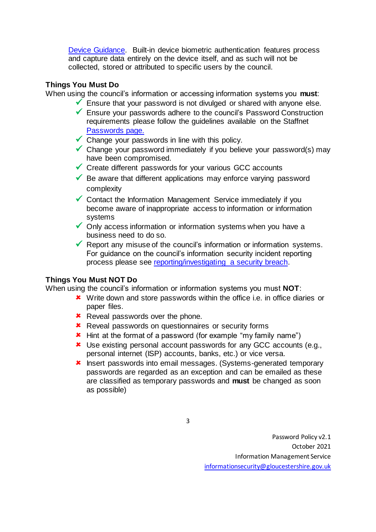[Device Guidance.](https://www.ncsc.gov.uk/collection/mobile-device-guidance/using-biometrics-on-mobile-devices) Built-in device biometric authentication features process and capture data entirely on the device itself, and as such will not be collected, stored or attributed to specific users by the council.

## **Things You Must Do**

When using the council's information or accessing information systems you **must**:

- $\checkmark$  Ensure that your password is not divulged or shared with anyone else.
- ✓ Ensure your passwords adhere to the council's Password Construction requirements please follow the guidelines available on the Staffnet [Passwords](https://staffnet.gloucestershire.gov.uk/internal-services/information-management-service/cyber-security/passwords/) page.
- $\checkmark$  Change your passwords in line with this policy.
- ✓ Change your password immediately if you believe your password(s) may have been compromised.
- $\checkmark$  Create different passwords for your various GCC accounts
- $\checkmark$  Be aware that different applications may enforce varying password complexity
- $\checkmark$  Contact the Information Management Service immediately if you become aware of inappropriate access to information or information systems
- $\checkmark$  Only access information or information systems when you have a business need to do so.
- $\checkmark$  Report any misuse of the council's information or information systems. For guidance on the council's information security incident reporting process please see [reporting/investigating a security breach.](https://staffnet.gloucestershire.gov.uk/internal-services/information-management-service/information-security-incidents/)

# **Things You Must NOT Do**

When using the council's information or information systems you must **NOT**:

- \* Write down and store passwords within the office i.e. in office diaries or paper files.
- **\*** Reveal passwords over the phone.
- **\*** Reveal passwords on questionnaires or security forms
- **\*** Hint at the format of a password (for example "my family name")
- Use existing personal account passwords for any GCC accounts (e.g., personal internet (ISP) accounts, banks, etc.) or vice versa.
- **\*** Insert passwords into email messages. (Systems-generated temporary passwords are regarded as an exception and can be emailed as these are classified as temporary passwords and **must** be changed as soon as possible)

3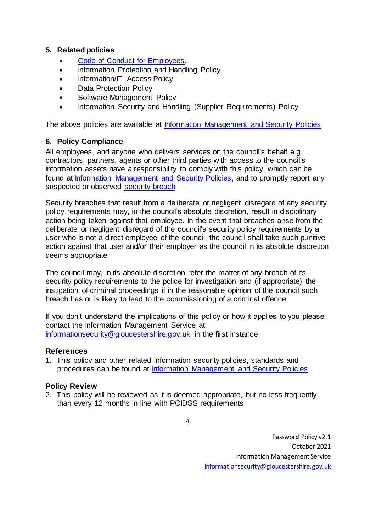## **5. Related policies**

- [Code of Conduct for Employees.](https://staffnet.gloucestershire.gov.uk/employee-information-and-support/code-of-conduct-for-employees/)
- Information Protection and Handling Policy
- Information/IT Access Policy
- Data Protection Policy
- Software Management Policy
- Information Security and Handling (Supplier Requirements) Policy

The above policies are available at [Information Management and Security Policies](http://www.gloucestershire.gov.uk/council-and-democracy/strategies-plans-policies/information-management-and-security-policies/)

## **6. Policy Compliance**

All employees, and anyone who delivers services on the council's behalf e.g. contractors, partners, agents or other third parties with access to the council's information assets have a responsibility to comply with this policy, which can be found at [Information Management and Security Policies,](http://www.gloucestershire.gov.uk/council-and-democracy/strategies-plans-policies/information-management-and-security-policies/) and to promptly report any suspected or observed [security breach](https://staffnet.gloucestershire.gov.uk/internal-services/information-management-security-governance/information-security-breaches-and-concerns/)

Security breaches that result from a deliberate or negligent disregard of any security policy requirements may, in the council's absolute discretion, result in disciplinary action being taken against that employee. In the event that breaches arise from the deliberate or negligent disregard of the council's security policy requirements by a user who is not a direct employee of the council, the council shall take such punitive action against that user and/or their employer as the council in its absolute discretion deems appropriate.

The council may, in its absolute discretion refer the matter of any breach of its security policy requirements to the police for investigation and (if appropriate) the instigation of criminal proceedings if in the reasonable opinion of the council such breach has or is likely to lead to the commissioning of a criminal offence.

If you don't understand the implications of this policy or how it applies to you please contact the Information Management Service at [informationsecurity@gloucestershire.gov.uk](mailto:informationsecurity@gloucestershire.gov.uk) in the first instance

## **References**

1. This policy and other related information security policies, standards and procedures can be found at [Information Management and Security Policies](http://www.gloucestershire.gov.uk/council-and-democracy/strategies-plans-policies/information-management-and-security-policies/)

## **Policy Review**

2. This policy will be reviewed as it is deemed appropriate, but no less frequently than every 12 months in line with PCIDSS requirements.

4